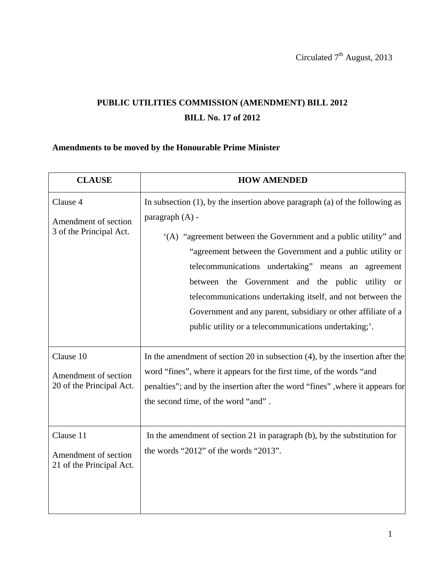## **PUBLIC UTILITIES COMMISSION (AMENDMENT) BILL 2012 BILL No. 17 of 2012**

## **Amendments to be moved by the Honourable Prime Minister**

| <b>CLAUSE</b>                                                 | <b>HOW AMENDED</b>                                                                                                                                                                                                                                                                                                                                                                                                                                                                                                                      |
|---------------------------------------------------------------|-----------------------------------------------------------------------------------------------------------------------------------------------------------------------------------------------------------------------------------------------------------------------------------------------------------------------------------------------------------------------------------------------------------------------------------------------------------------------------------------------------------------------------------------|
| Clause 4<br>Amendment of section<br>3 of the Principal Act.   | In subsection $(1)$ , by the insertion above paragraph $(a)$ of the following as<br>paragraph $(A)$ -<br>(A) "agreement between the Government and a public utility" and<br>"agreement between the Government and a public utility or<br>telecommunications undertaking" means an agreement<br>between the Government and the public utility or<br>telecommunications undertaking itself, and not between the<br>Government and any parent, subsidiary or other affiliate of a<br>public utility or a telecommunications undertaking;'. |
| Clause 10<br>Amendment of section<br>20 of the Principal Act. | In the amendment of section 20 in subsection $(4)$ , by the insertion after the<br>word "fines", where it appears for the first time, of the words "and<br>penalties"; and by the insertion after the word "fines", where it appears for<br>the second time, of the word "and".                                                                                                                                                                                                                                                         |
| Clause 11<br>Amendment of section<br>21 of the Principal Act. | In the amendment of section 21 in paragraph $(b)$ , by the substitution for<br>the words "2012" of the words "2013".                                                                                                                                                                                                                                                                                                                                                                                                                    |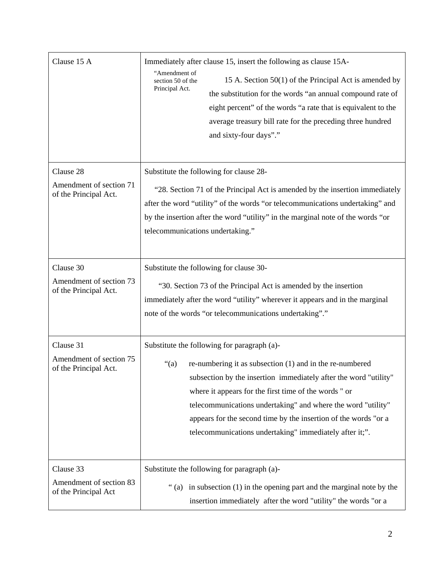| Clause 15 A                                                   | Immediately after clause 15, insert the following as clause 15A-<br>"Amendment of<br>15 A. Section 50(1) of the Principal Act is amended by<br>section 50 of the<br>Principal Act.<br>the substitution for the words "an annual compound rate of<br>eight percent" of the words "a rate that is equivalent to the<br>average treasury bill rate for the preceding three hundred<br>and sixty-four days"."                                       |
|---------------------------------------------------------------|-------------------------------------------------------------------------------------------------------------------------------------------------------------------------------------------------------------------------------------------------------------------------------------------------------------------------------------------------------------------------------------------------------------------------------------------------|
| Clause 28<br>Amendment of section 71<br>of the Principal Act. | Substitute the following for clause 28-<br>"28. Section 71 of the Principal Act is amended by the insertion immediately<br>after the word "utility" of the words "or telecommunications undertaking" and<br>by the insertion after the word "utility" in the marginal note of the words "or<br>telecommunications undertaking."                                                                                                                 |
| Clause 30<br>Amendment of section 73<br>of the Principal Act. | Substitute the following for clause 30-<br>"30. Section 73 of the Principal Act is amended by the insertion<br>immediately after the word "utility" wherever it appears and in the marginal<br>note of the words "or telecommunications undertaking"."                                                                                                                                                                                          |
| Clause 31<br>Amendment of section 75<br>of the Principal Act. | Substitute the following for paragraph (a)-<br>re-numbering it as subsection $(1)$ and in the re-numbered<br>" $(a)$<br>subsection by the insertion immediately after the word "utility"<br>where it appears for the first time of the words " or<br>telecommunications undertaking" and where the word "utility"<br>appears for the second time by the insertion of the words "or a<br>telecommunications undertaking" immediately after it;". |
| Clause 33<br>Amendment of section 83<br>of the Principal Act  | Substitute the following for paragraph (a)-<br>"(a) in subsection (1) in the opening part and the marginal note by the<br>insertion immediately after the word "utility" the words "or a                                                                                                                                                                                                                                                        |